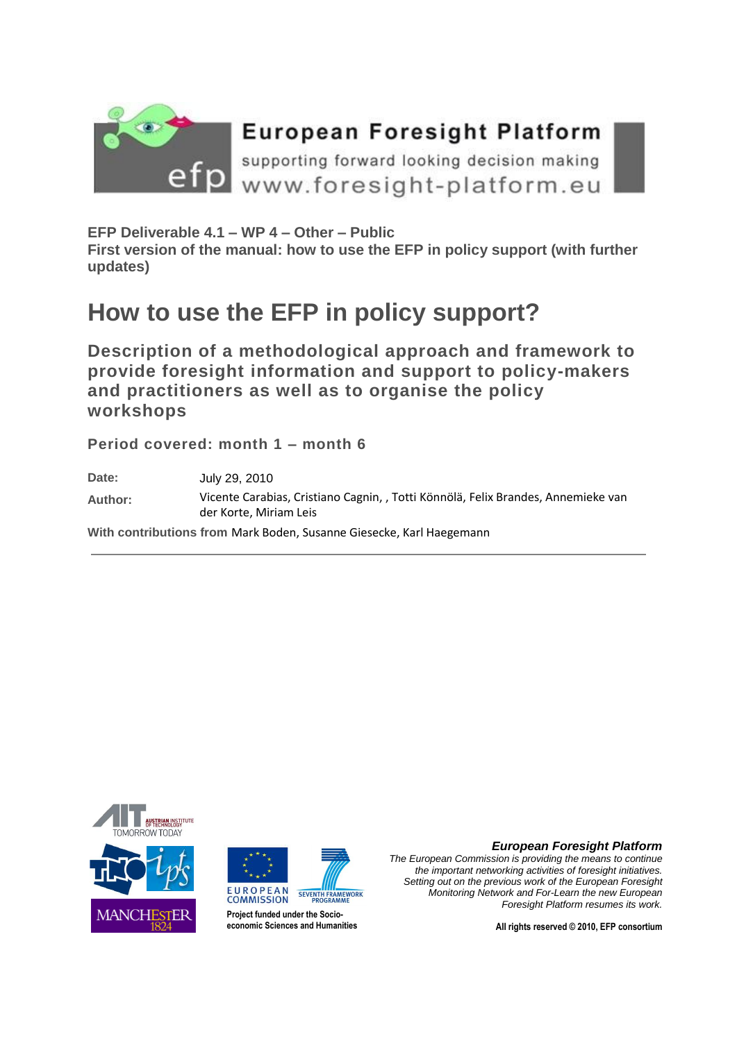

# **European Foresight Platform**

supporting forward looking decision making Www.foresight-platform.eu

**EFP Deliverable 4.1 – WP 4 – Other – Public**

**First version of the manual: how to use the EFP in policy support (with further updates)**

# **How to use the EFP in policy support?**

**Description of a methodological approach and framework to provide foresight information and support to policy-makers and practitioners as well as to organise the policy workshops**

**Period covered: month 1 – month 6**

**Date:** July 29, 2010 **Author:** Vicente Carabias, Cristiano Cagnin, , Totti Könnölä, Felix Brandes, Annemieke van der Korte, Miriam Leis **With contributions from** Mark Boden, Susanne Giesecke, Karl Haegemann





**Project funded under the Socioeconomic Sciences and Humanities** *European Foresight Platform*

*The European Commission is providing the means to continue the important networking activities of foresight initiatives. Setting out on the previous work of the European Foresight Monitoring Network and For-Learn the new European Foresight Platform resumes its work.*

**All rights reserved © 2010, EFP consortium**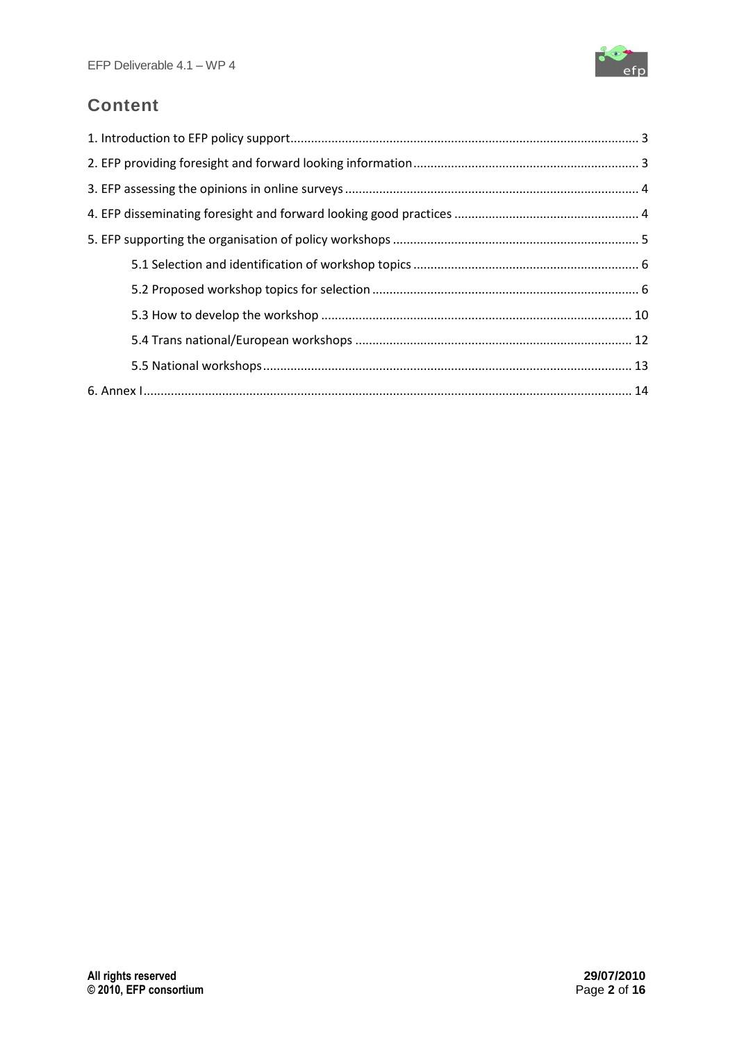

## **Content**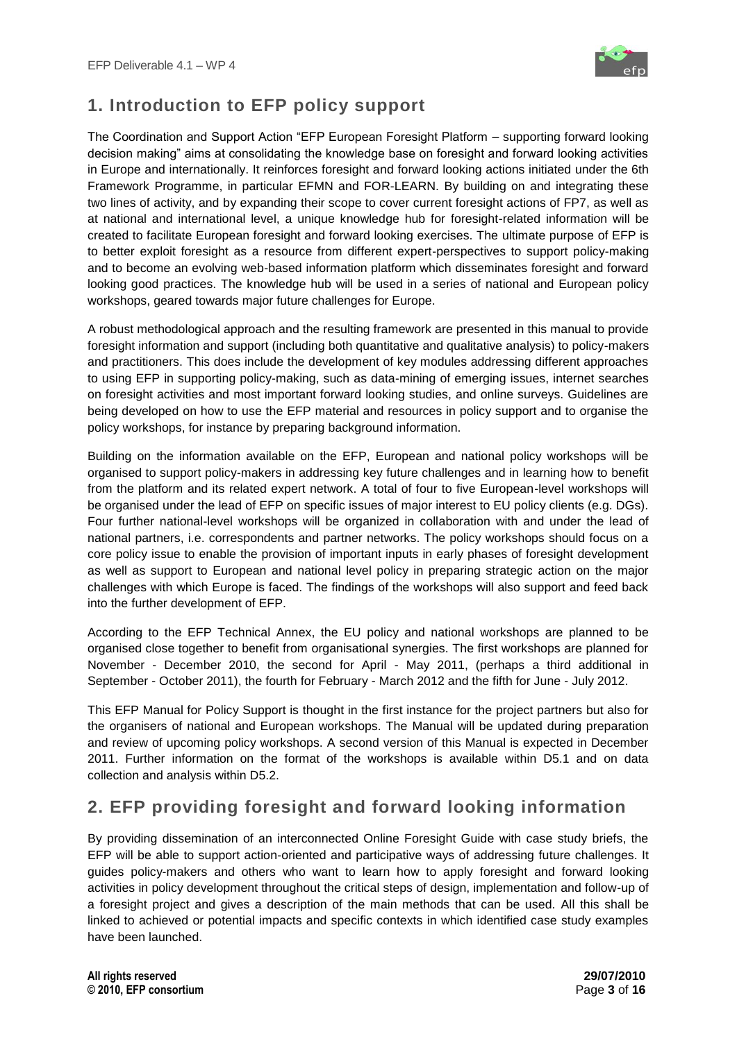

## <span id="page-2-0"></span>**1. Introduction to EFP policy support**

The Coordination and Support Action "EFP European Foresight Platform – supporting forward looking decision making" aims at consolidating the knowledge base on foresight and forward looking activities in Europe and internationally. It reinforces foresight and forward looking actions initiated under the 6th Framework Programme, in particular [EFMN](http://www.efmn.info/r) and [FOR-LEARN.](http://forlearn.jrc.ec.europa.eu/) By building on and integrating these two lines of activity, and by expanding their scope to cover current foresight actions of FP7, as well as at national and international level, a unique knowledge hub for foresight-related information will be created to facilitate European foresight and forward looking exercises. The ultimate purpose of EFP is to better exploit foresight as a resource from different expert-perspectives to support policy-making and to become an evolving web-based information platform which disseminates foresight and forward looking good practices. The knowledge hub will be used in a series of national and European policy workshops, geared towards major future challenges for Europe.

A robust methodological approach and the resulting framework are presented in this manual to provide foresight information and support (including both quantitative and qualitative analysis) to policy-makers and practitioners. This does include the development of key modules addressing different approaches to using EFP in supporting policy-making, such as data-mining of emerging issues, internet searches on foresight activities and most important forward looking studies, and online surveys. Guidelines are being developed on how to use the EFP material and resources in policy support and to organise the policy workshops, for instance by preparing background information.

Building on the information available on the EFP, European and national policy workshops will be organised to support policy-makers in addressing key future challenges and in learning how to benefit from the platform and its related expert network. A total of four to five European-level workshops will be organised under the lead of EFP on specific issues of major interest to EU policy clients (e.g. DGs). Four further national-level workshops will be organized in collaboration with and under the lead of national partners, i.e. correspondents and partner networks. The policy workshops should focus on a core policy issue to enable the provision of important inputs in early phases of foresight development as well as support to European and national level policy in preparing strategic action on the major challenges with which Europe is faced. The findings of the workshops will also support and feed back into the further development of EFP.

According to the EFP Technical Annex, the EU policy and national workshops are planned to be organised close together to benefit from organisational synergies. The first workshops are planned for November - December 2010, the second for April - May 2011, (perhaps a third additional in September - October 2011), the fourth for February - March 2012 and the fifth for June - July 2012.

This EFP Manual for Policy Support is thought in the first instance for the project partners but also for the organisers of national and European workshops. The Manual will be updated during preparation and review of upcoming policy workshops. A second version of this Manual is expected in December 2011. Further information on the format of the workshops is available within D5.1 and on data collection and analysis within D5.2.

## <span id="page-2-1"></span>**2. EFP providing foresight and forward looking information**

By providing dissemination of an interconnected Online Foresight Guide with case study briefs, the EFP will be able to support action-oriented and participative ways of addressing future challenges. It guides policy-makers and others who want to learn how to apply foresight and forward looking activities in policy development throughout the critical steps of design, implementation and follow-up of a foresight project and gives a description of the main methods that can be used. All this shall be linked to achieved or potential impacts and specific contexts in which identified case study examples have been launched.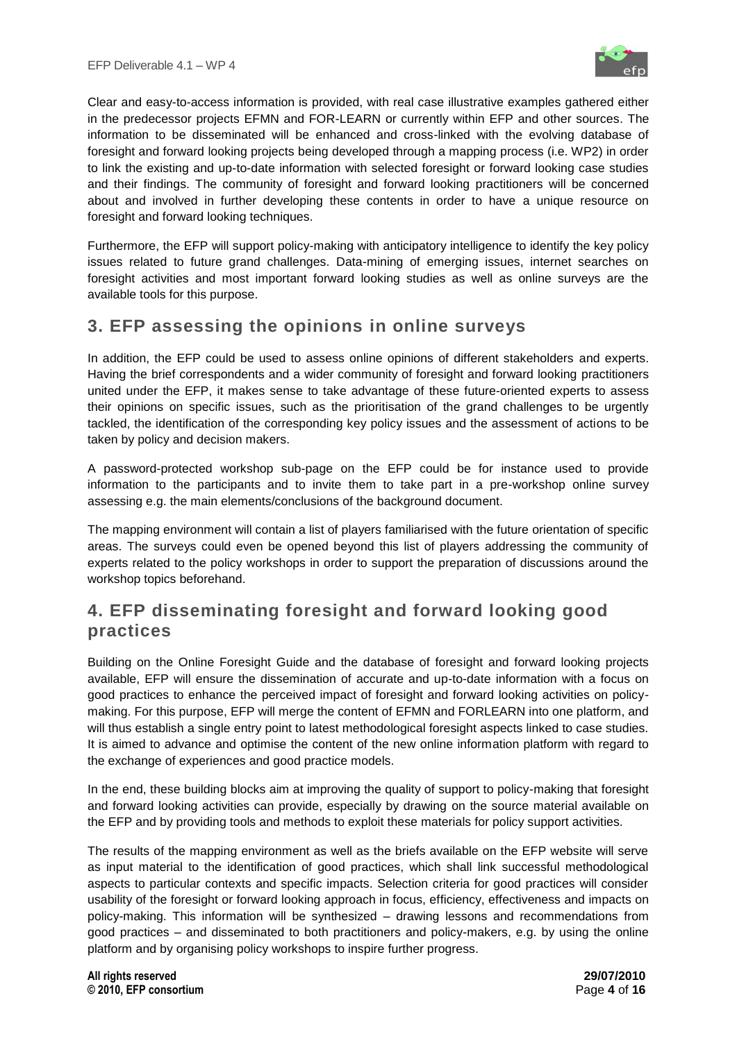

Clear and easy-to-access information is provided, with real case illustrative examples gathered either in the predecessor projects EFMN and FOR-LEARN or currently within EFP and other sources. The information to be disseminated will be enhanced and cross-linked with the evolving database of foresight and forward looking projects being developed through a mapping process (i.e. WP2) in order to link the existing and up-to-date information with selected foresight or forward looking case studies and their findings. The community of foresight and forward looking practitioners will be concerned about and involved in further developing these contents in order to have a unique resource on foresight and forward looking techniques.

Furthermore, the EFP will support policy-making with anticipatory intelligence to identify the key policy issues related to future grand challenges. Data-mining of emerging issues, internet searches on foresight activities and most important forward looking studies as well as online surveys are the available tools for this purpose.

## <span id="page-3-0"></span>**3. EFP assessing the opinions in online surveys**

In addition, the EFP could be used to assess online opinions of different stakeholders and experts. Having the brief correspondents and a wider community of foresight and forward looking practitioners united under the EFP, it makes sense to take advantage of these future-oriented experts to assess their opinions on specific issues, such as the prioritisation of the grand challenges to be urgently tackled, the identification of the corresponding key policy issues and the assessment of actions to be taken by policy and decision makers.

A password-protected workshop sub-page on the EFP could be for instance used to provide information to the participants and to invite them to take part in a pre-workshop online survey assessing e.g. the main elements/conclusions of the background document.

The mapping environment will contain a list of players familiarised with the future orientation of specific areas. The surveys could even be opened beyond this list of players addressing the community of experts related to the policy workshops in order to support the preparation of discussions around the workshop topics beforehand.

## <span id="page-3-1"></span>**4. EFP disseminating foresight and forward looking good practices**

Building on the Online Foresight Guide and the database of foresight and forward looking projects available, EFP will ensure the dissemination of accurate and up-to-date information with a focus on good practices to enhance the perceived impact of foresight and forward looking activities on policymaking. For this purpose, EFP will merge the content of EFMN and FORLEARN into one platform, and will thus establish a single entry point to latest methodological foresight aspects linked to case studies. It is aimed to advance and optimise the content of the new online information platform with regard to the exchange of experiences and good practice models.

In the end, these building blocks aim at improving the quality of support to policy-making that foresight and forward looking activities can provide, especially by drawing on the source material available on the EFP and by providing tools and methods to exploit these materials for policy support activities.

The results of the mapping environment as well as the briefs available on the EFP website will serve as input material to the identification of good practices, which shall link successful methodological aspects to particular contexts and specific impacts. Selection criteria for good practices will consider usability of the foresight or forward looking approach in focus, efficiency, effectiveness and impacts on policy-making. This information will be synthesized – drawing lessons and recommendations from good practices – and disseminated to both practitioners and policy-makers, e.g. by using the online platform and by organising policy workshops to inspire further progress.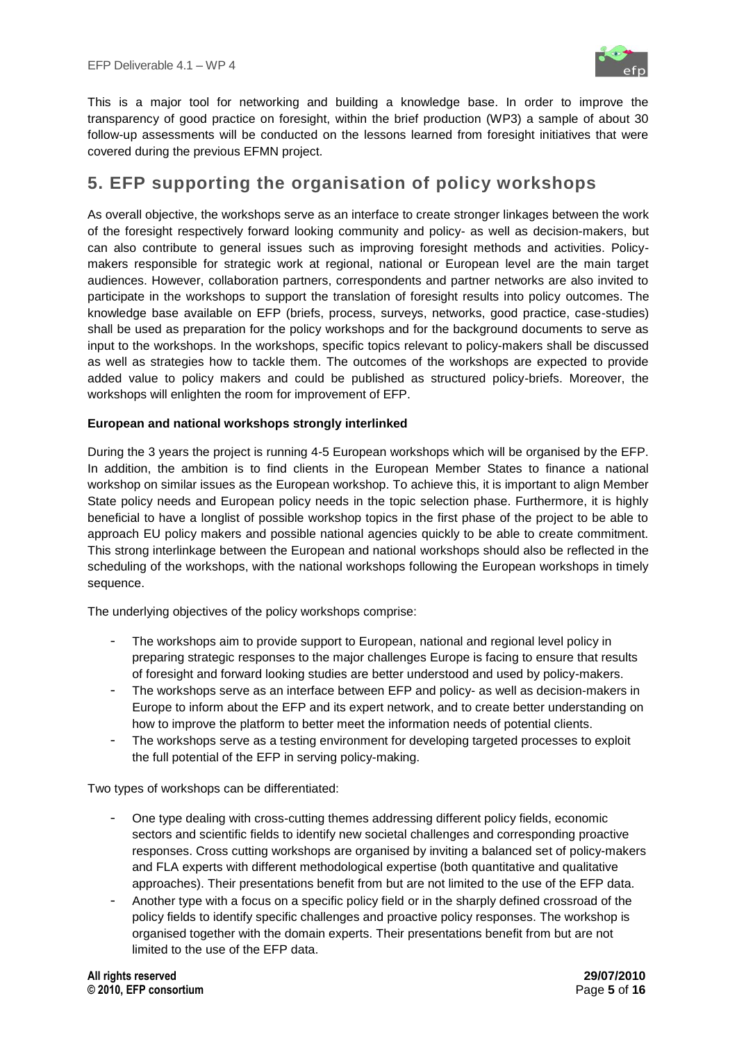

This is a major tool for networking and building a knowledge base. In order to improve the transparency of good practice on foresight, within the brief production (WP3) a sample of about 30 follow-up assessments will be conducted on the lessons learned from foresight initiatives that were covered during the previous EFMN project.

## <span id="page-4-0"></span>**5. EFP supporting the organisation of policy workshops**

As overall objective, the workshops serve as an interface to create stronger linkages between the work of the foresight respectively forward looking community and policy- as well as decision-makers, but can also contribute to general issues such as improving foresight methods and activities. Policymakers responsible for strategic work at regional, national or European level are the main target audiences. However, collaboration partners, correspondents and partner networks are also invited to participate in the workshops to support the translation of foresight results into policy outcomes. The knowledge base available on EFP (briefs, process, surveys, networks, good practice, case-studies) shall be used as preparation for the policy workshops and for the background documents to serve as input to the workshops. In the workshops, specific topics relevant to policy-makers shall be discussed as well as strategies how to tackle them. The outcomes of the workshops are expected to provide added value to policy makers and could be published as structured policy-briefs. Moreover, the workshops will enlighten the room for improvement of EFP.

## **European and national workshops strongly interlinked**

During the 3 years the project is running 4-5 European workshops which will be organised by the EFP. In addition, the ambition is to find clients in the European Member States to finance a national workshop on similar issues as the European workshop. To achieve this, it is important to align Member State policy needs and European policy needs in the topic selection phase. Furthermore, it is highly beneficial to have a longlist of possible workshop topics in the first phase of the project to be able to approach EU policy makers and possible national agencies quickly to be able to create commitment. This strong interlinkage between the European and national workshops should also be reflected in the scheduling of the workshops, with the national workshops following the European workshops in timely sequence.

The underlying objectives of the policy workshops comprise:

- The workshops aim to provide support to European, national and regional level policy in preparing strategic responses to the major challenges Europe is facing to ensure that results of foresight and forward looking studies are better understood and used by policy-makers.
- The workshops serve as an interface between EFP and policy- as well as decision-makers in Europe to inform about the EFP and its expert network, and to create better understanding on how to improve the platform to better meet the information needs of potential clients.
- The workshops serve as a testing environment for developing targeted processes to exploit the full potential of the EFP in serving policy-making.

Two types of workshops can be differentiated:

- One type dealing with cross-cutting themes addressing different policy fields, economic sectors and scientific fields to identify new societal challenges and corresponding proactive responses. Cross cutting workshops are organised by inviting a balanced set of policy-makers and FLA experts with different methodological expertise (both quantitative and qualitative approaches). Their presentations benefit from but are not limited to the use of the EFP data.
- Another type with a focus on a specific policy field or in the sharply defined crossroad of the policy fields to identify specific challenges and proactive policy responses. The workshop is organised together with the domain experts. Their presentations benefit from but are not limited to the use of the EFP data.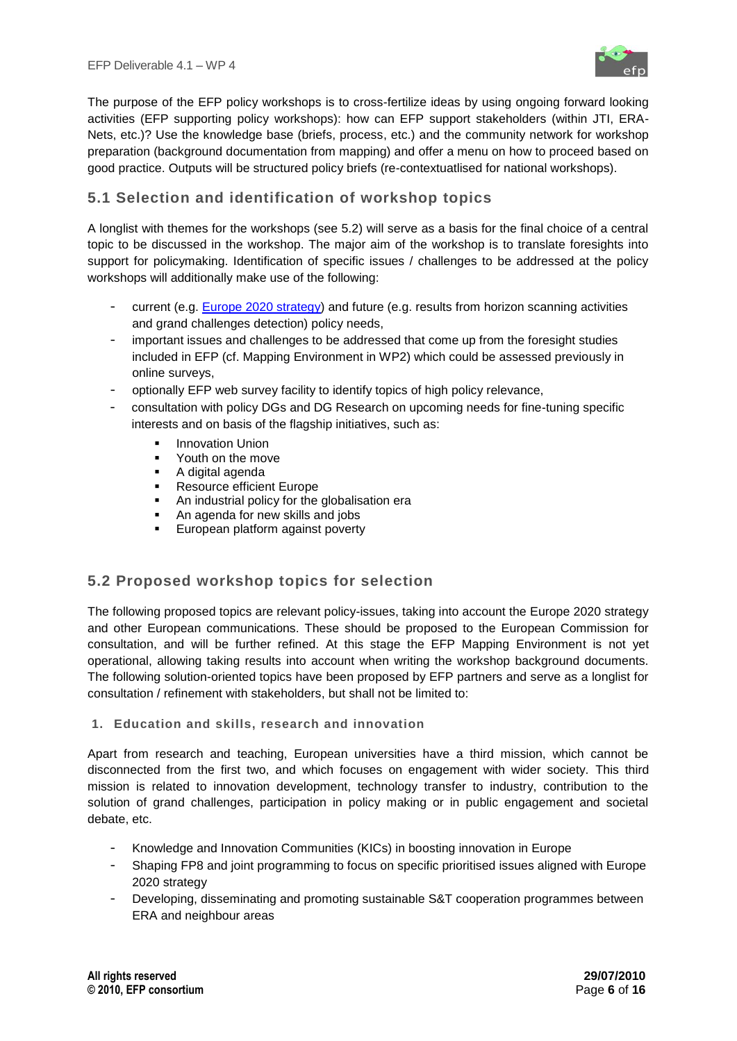

The purpose of the EFP policy workshops is to cross-fertilize ideas by using ongoing forward looking activities (EFP supporting policy workshops): how can EFP support stakeholders (within JTI, ERA-Nets, etc.)? Use the knowledge base (briefs, process, etc.) and the community network for workshop preparation (background documentation from mapping) and offer a menu on how to proceed based on good practice. Outputs will be structured policy briefs (re-contextuatlised for national workshops).

## <span id="page-5-0"></span>**5.1 Selection and identification of workshop topics**

A longlist with themes for the workshops (see 5.2) will serve as a basis for the final choice of a central topic to be discussed in the workshop. The major aim of the workshop is to translate foresights into support for policymaking. Identification of specific issues / challenges to be addressed at the policy workshops will additionally make use of the following:

- current (e.g. [Europe 2020 strategy\)](http://ec.europa.eu/eu2020/index_en.htm) and future (e.g. results from horizon scanning activities and grand challenges detection) policy needs,
- important issues and challenges to be addressed that come up from the foresight studies included in EFP (cf. Mapping Environment in WP2) which could be assessed previously in online surveys,
- optionally EFP web survey facility to identify topics of high policy relevance,
- consultation with policy DGs and DG Research on upcoming needs for fine-tuning specific interests and on basis of the flagship initiatives, such as:
	- Innovation Union
	- Youth on the move
	- A digital agenda
	- **Resource efficient Europe**
	- **An industrial policy for the globalisation era**
	- An agenda for new skills and jobs
	- **European platform against poverty**

## <span id="page-5-1"></span>**5.2 Proposed workshop topics for selection**

The following proposed topics are relevant policy-issues, taking into account the Europe 2020 strategy and other European communications. These should be proposed to the European Commission for consultation, and will be further refined. At this stage the EFP Mapping Environment is not yet operational, allowing taking results into account when writing the workshop background documents. The following solution-oriented topics have been proposed by EFP partners and serve as a longlist for consultation / refinement with stakeholders, but shall not be limited to:

## **1. Education and skills, research and innovation**

Apart from research and teaching, European universities have a third mission, which cannot be disconnected from the first two, and which focuses on engagement with wider society. This third mission is related to innovation development, technology transfer to industry, contribution to the solution of grand challenges, participation in policy making or in public engagement and societal debate, etc.

- Knowledge and Innovation Communities (KICs) in boosting innovation in Europe
- Shaping FP8 and joint programming to focus on specific prioritised issues aligned with Europe 2020 strategy
- Developing, disseminating and promoting sustainable S&T cooperation programmes between ERA and neighbour areas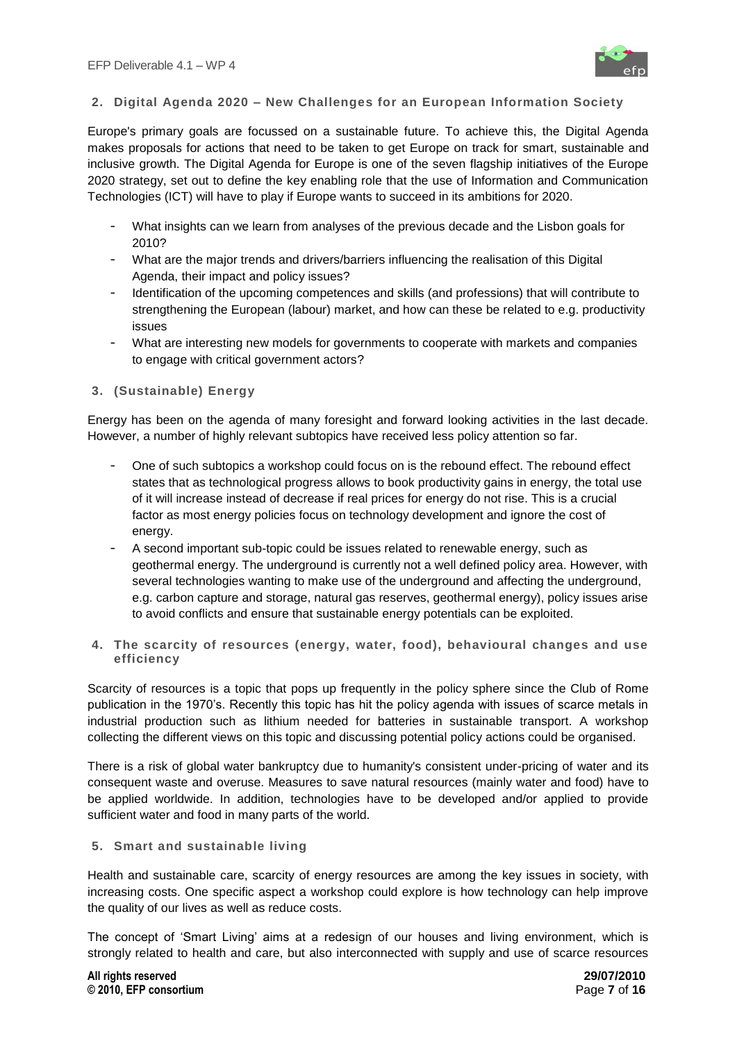

## **2. Digital Agenda 2020 – New Challenges for an European Information Society**

Europe's primary goals are focussed on a sustainable future. To achieve this, the Digital Agenda makes proposals for actions that need to be taken to get Europe on track for smart, sustainable and inclusive growth. The Digital Agenda for Europe is one of the seven flagship initiatives of the Europe 2020 strategy, set out to define the key enabling role that the use of Information and Communication Technologies (ICT) will have to play if Europe wants to succeed in its ambitions for 2020.

- What insights can we learn from analyses of the previous decade and the Lisbon goals for 2010?
- What are the major trends and drivers/barriers influencing the realisation of this Digital Agenda, their impact and policy issues?
- Identification of the upcoming competences and skills (and professions) that will contribute to strengthening the European (labour) market, and how can these be related to e.g. productivity issues
- What are interesting new models for governments to cooperate with markets and companies to engage with critical government actors?

## **3. (Sustainable) Energy**

Energy has been on the agenda of many foresight and forward looking activities in the last decade. However, a number of highly relevant subtopics have received less policy attention so far.

- One of such subtopics a workshop could focus on is the rebound effect. The rebound effect states that as technological progress allows to book productivity gains in energy, the total use of it will increase instead of decrease if real prices for energy do not rise. This is a crucial factor as most energy policies focus on technology development and ignore the cost of energy.
- A second important sub-topic could be issues related to renewable energy, such as geothermal energy. The underground is currently not a well defined policy area. However, with several technologies wanting to make use of the underground and affecting the underground, e.g. carbon capture and storage, natural gas reserves, geothermal energy), policy issues arise to avoid conflicts and ensure that sustainable energy potentials can be exploited.
- **4. The scarcity of resources (energy, water, food), behavioural changes and use efficiency**

Scarcity of resources is a topic that pops up frequently in the policy sphere since the Club of Rome publication in the 1970's. Recently this topic has hit the policy agenda with issues of scarce metals in industrial production such as lithium needed for batteries in sustainable transport. A workshop collecting the different views on this topic and discussing potential policy actions could be organised.

There is a risk of global water bankruptcy due to humanity's consistent under-pricing of water and its consequent waste and overuse. Measures to save natural resources (mainly water and food) have to be applied worldwide. In addition, technologies have to be developed and/or applied to provide sufficient water and food in many parts of the world.

#### **5. Smart and sustainable living**

Health and sustainable care, scarcity of energy resources are among the key issues in society, with increasing costs. One specific aspect a workshop could explore is how technology can help improve the quality of our lives as well as reduce costs.

The concept of "Smart Living" aims at a redesign of our houses and living environment, which is strongly related to health and care, but also interconnected with supply and use of scarce resources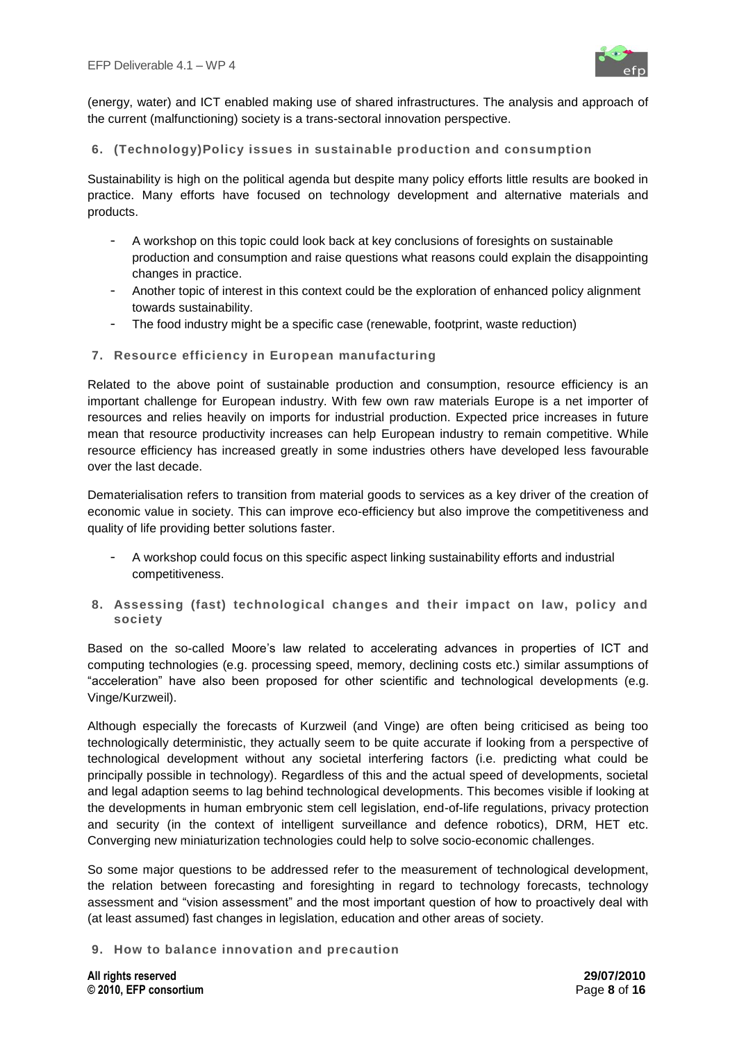

(energy, water) and ICT enabled making use of shared infrastructures. The analysis and approach of the current (malfunctioning) society is a trans-sectoral innovation perspective.

## **6. (Technology)Policy issues in sustainable production and consumption**

Sustainability is high on the political agenda but despite many policy efforts little results are booked in practice. Many efforts have focused on technology development and alternative materials and products.

- A workshop on this topic could look back at key conclusions of foresights on sustainable production and consumption and raise questions what reasons could explain the disappointing changes in practice.
- Another topic of interest in this context could be the exploration of enhanced policy alignment towards sustainability.
- The food industry might be a specific case (renewable, footprint, waste reduction)

### **7. Resource efficiency in European manufacturing**

Related to the above point of sustainable production and consumption, resource efficiency is an important challenge for European industry. With few own raw materials Europe is a net importer of resources and relies heavily on imports for industrial production. Expected price increases in future mean that resource productivity increases can help European industry to remain competitive. While resource efficiency has increased greatly in some industries others have developed less favourable over the last decade.

Dematerialisation refers to transition from material goods to services as a key driver of the creation of economic value in society. This can improve eco-efficiency but also improve the competitiveness and quality of life providing better solutions faster.

- A workshop could focus on this specific aspect linking sustainability efforts and industrial competitiveness.
- **8. Assessing (fast) technological changes and their impact on law, policy and society**

Based on the so-called Moore"s law related to accelerating advances in properties of ICT and computing technologies (e.g. processing speed, memory, declining costs etc.) similar assumptions of "acceleration" have also been proposed for other scientific and technological developments (e.g. Vinge/Kurzweil).

Although especially the forecasts of Kurzweil (and Vinge) are often being criticised as being too technologically deterministic, they actually seem to be quite accurate if looking from a perspective of technological development without any societal interfering factors (i.e. predicting what could be principally possible in technology). Regardless of this and the actual speed of developments, societal and legal adaption seems to lag behind technological developments. This becomes visible if looking at the developments in human embryonic stem cell legislation, end-of-life regulations, privacy protection and security (in the context of intelligent surveillance and defence robotics), DRM, HET etc. Converging new miniaturization technologies could help to solve socio-economic challenges.

So some major questions to be addressed refer to the measurement of technological development, the relation between forecasting and foresighting in regard to technology forecasts, technology assessment and "vision assessment" and the most important question of how to proactively deal with (at least assumed) fast changes in legislation, education and other areas of society.

**9. How to balance innovation and precaution**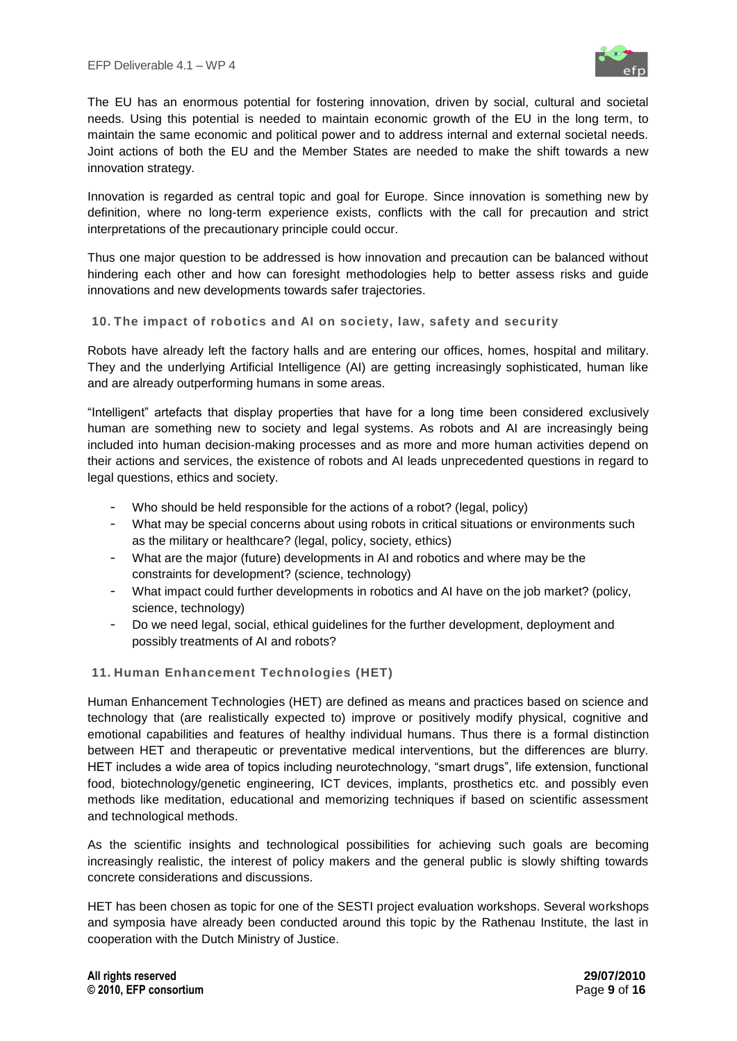

The EU has an enormous potential for fostering innovation, driven by social, cultural and societal needs. Using this potential is needed to maintain economic growth of the EU in the long term, to maintain the same economic and political power and to address internal and external societal needs. Joint actions of both the EU and the Member States are needed to make the shift towards a new innovation strategy.

Innovation is regarded as central topic and goal for Europe. Since innovation is something new by definition, where no long-term experience exists, conflicts with the call for precaution and strict interpretations of the precautionary principle could occur.

Thus one major question to be addressed is how innovation and precaution can be balanced without hindering each other and how can foresight methodologies help to better assess risks and guide innovations and new developments towards safer trajectories.

## **10. The impact of robotics and AI on society, law, safety and security**

Robots have already left the factory halls and are entering our offices, homes, hospital and military. They and the underlying Artificial Intelligence (AI) are getting increasingly sophisticated, human like and are already outperforming humans in some areas.

"Intelligent" artefacts that display properties that have for a long time been considered exclusively human are something new to society and legal systems. As robots and AI are increasingly being included into human decision-making processes and as more and more human activities depend on their actions and services, the existence of robots and AI leads unprecedented questions in regard to legal questions, ethics and society.

- Who should be held responsible for the actions of a robot? (legal, policy)
- What may be special concerns about using robots in critical situations or environments such as the military or healthcare? (legal, policy, society, ethics)
- What are the major (future) developments in AI and robotics and where may be the constraints for development? (science, technology)
- What impact could further developments in robotics and AI have on the job market? (policy, science, technology)
- Do we need legal, social, ethical guidelines for the further development, deployment and possibly treatments of AI and robots?

## **11. Human Enhancement Technologies (HET)**

Human Enhancement Technologies (HET) are defined as means and practices based on science and technology that (are realistically expected to) improve or positively modify physical, cognitive and emotional capabilities and features of healthy individual humans. Thus there is a formal distinction between HET and therapeutic or preventative medical interventions, but the differences are blurry. HET includes a wide area of topics including neurotechnology, "smart drugs", life extension, functional food, biotechnology/genetic engineering, ICT devices, implants, prosthetics etc. and possibly even methods like meditation, educational and memorizing techniques if based on scientific assessment and technological methods.

As the scientific insights and technological possibilities for achieving such goals are becoming increasingly realistic, the interest of policy makers and the general public is slowly shifting towards concrete considerations and discussions.

HET has been chosen as topic for one of the SESTI project evaluation workshops. Several workshops and symposia have already been conducted around this topic by the Rathenau Institute, the last in cooperation with the Dutch Ministry of Justice.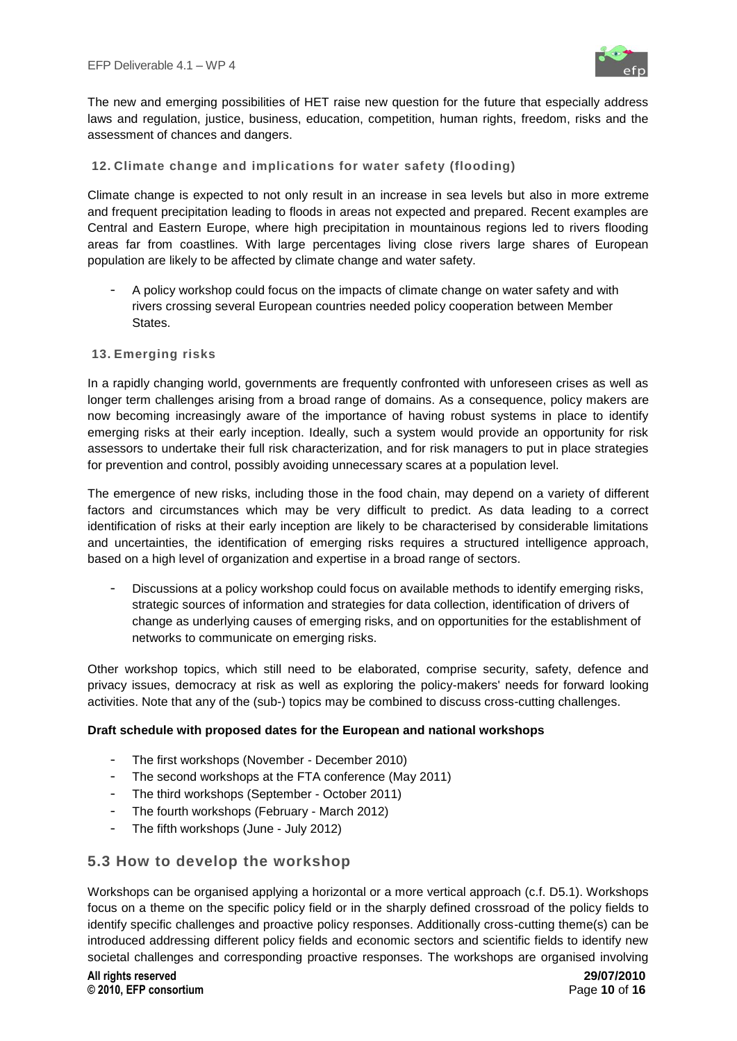

The new and emerging possibilities of HET raise new question for the future that especially address laws and regulation, justice, business, education, competition, human rights, freedom, risks and the assessment of chances and dangers.

## **12. Climate change and implications for water safety (flooding)**

Climate change is expected to not only result in an increase in sea levels but also in more extreme and frequent precipitation leading to floods in areas not expected and prepared. Recent examples are Central and Eastern Europe, where high precipitation in mountainous regions led to rivers flooding areas far from coastlines. With large percentages living close rivers large shares of European population are likely to be affected by climate change and water safety.

A policy workshop could focus on the impacts of climate change on water safety and with rivers crossing several European countries needed policy cooperation between Member States.

### **13. Emerging risks**

In a rapidly changing world, governments are frequently confronted with unforeseen crises as well as longer term challenges arising from a broad range of domains. As a consequence, policy makers are now becoming increasingly aware of the importance of having robust systems in place to identify emerging risks at their early inception. Ideally, such a system would provide an opportunity for risk assessors to undertake their full risk characterization, and for risk managers to put in place strategies for prevention and control, possibly avoiding unnecessary scares at a population level.

The emergence of new risks, including those in the food chain, may depend on a variety of different factors and circumstances which may be very difficult to predict. As data leading to a correct identification of risks at their early inception are likely to be characterised by considerable limitations and uncertainties, the identification of emerging risks requires a structured intelligence approach, based on a high level of organization and expertise in a broad range of sectors.

- Discussions at a policy workshop could focus on available methods to identify emerging risks, strategic sources of information and strategies for data collection, identification of drivers of change as underlying causes of emerging risks, and on opportunities for the establishment of networks to communicate on emerging risks.

Other workshop topics, which still need to be elaborated, comprise security, safety, defence and privacy issues, democracy at risk as well as exploring the policy-makers' needs for forward looking activities. Note that any of the (sub-) topics may be combined to discuss cross-cutting challenges.

## **Draft schedule with proposed dates for the European and national workshops**

- The first workshops (November December 2010)
- The second workshops at the FTA conference (May 2011)
- The third workshops (September October 2011)
- The fourth workshops (February March 2012)
- The fifth workshops (June July 2012)

## <span id="page-9-0"></span>**5.3 How to develop the workshop**

Workshops can be organised applying a horizontal or a more vertical approach (c.f. D5.1). Workshops focus on a theme on the specific policy field or in the sharply defined crossroad of the policy fields to identify specific challenges and proactive policy responses. Additionally cross-cutting theme(s) can be introduced addressing different policy fields and economic sectors and scientific fields to identify new societal challenges and corresponding proactive responses. The workshops are organised involving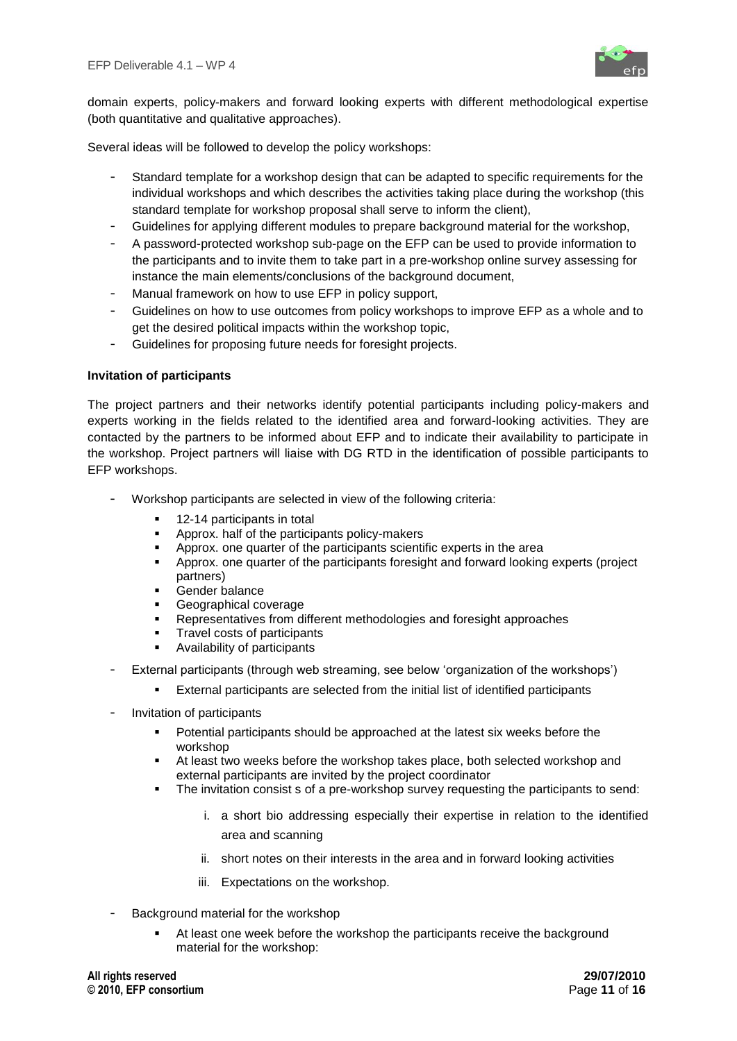

domain experts, policy-makers and forward looking experts with different methodological expertise (both quantitative and qualitative approaches).

Several ideas will be followed to develop the policy workshops:

- Standard template for a workshop design that can be adapted to specific requirements for the individual workshops and which describes the activities taking place during the workshop (this standard template for workshop proposal shall serve to inform the client),
- Guidelines for applying different modules to prepare background material for the workshop,
- A password-protected workshop sub-page on the EFP can be used to provide information to the participants and to invite them to take part in a pre-workshop online survey assessing for instance the main elements/conclusions of the background document,
- Manual framework on how to use EFP in policy support,
- Guidelines on how to use outcomes from policy workshops to improve EFP as a whole and to get the desired political impacts within the workshop topic,
- Guidelines for proposing future needs for foresight projects.

### **Invitation of participants**

The project partners and their networks identify potential participants including policy-makers and experts working in the fields related to the identified area and forward-looking activities. They are contacted by the partners to be informed about EFP and to indicate their availability to participate in the workshop. Project partners will liaise with DG RTD in the identification of possible participants to EFP workshops.

- Workshop participants are selected in view of the following criteria:
	- 12-14 participants in total
	- Approx. half of the participants policy-makers
	- Approx. one quarter of the participants scientific experts in the area<br>• Approx. one quarter of the participants foresight and forward looking
	- Approx. one quarter of the participants foresight and forward looking experts (project partners)
	- Gender balance
	- Geographical coverage
	- Representatives from different methodologies and foresight approaches
	- Travel costs of participants
	- Availability of participants
- External participants (through web streaming, see below "organization of the workshops")
	- External participants are selected from the initial list of identified participants
- Invitation of participants
	- Potential participants should be approached at the latest six weeks before the workshop
	- At least two weeks before the workshop takes place, both selected workshop and external participants are invited by the project coordinator
	- The invitation consist s of a pre-workshop survey requesting the participants to send:
		- i. a short bio addressing especially their expertise in relation to the identified area and scanning
		- ii. short notes on their interests in the area and in forward looking activities
		- iii. Expectations on the workshop.
- Background material for the workshop
	- At least one week before the workshop the participants receive the background material for the workshop: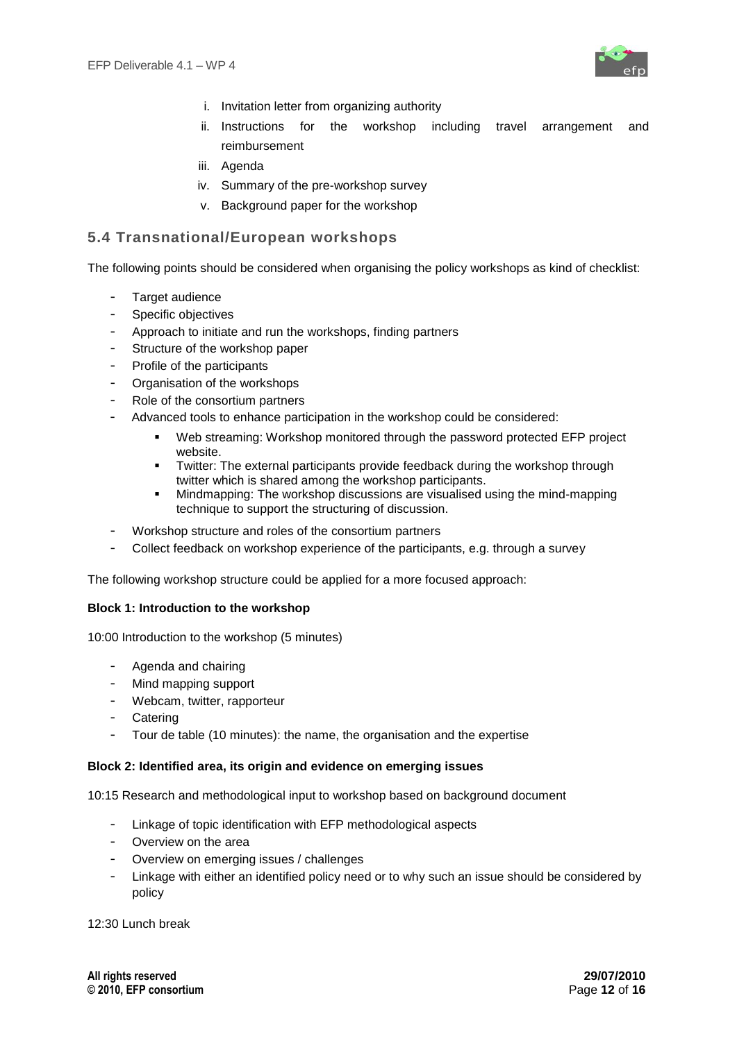

- i. Invitation letter from organizing authority
- ii. Instructions for the workshop including travel arrangement and reimbursement
- iii. Agenda
- iv. Summary of the pre-workshop survey
- v. Background paper for the workshop

## <span id="page-11-0"></span>**5.4 Transnational/European workshops**

The following points should be considered when organising the policy workshops as kind of checklist:

- Target audience
- Specific objectives
- Approach to initiate and run the workshops, finding partners
- Structure of the workshop paper
- Profile of the participants
- Organisation of the workshops
- Role of the consortium partners
- Advanced tools to enhance participation in the workshop could be considered:
	- Web streaming: Workshop monitored through the password protected EFP project website.
	- Twitter: The external participants provide feedback during the workshop through twitter which is shared among the workshop participants.
	- Mindmapping: The workshop discussions are visualised using the mind-mapping technique to support the structuring of discussion.
- Workshop structure and roles of the consortium partners
- Collect feedback on workshop experience of the participants, e.g. through a survey

The following workshop structure could be applied for a more focused approach:

## **Block 1: Introduction to the workshop**

10:00 Introduction to the workshop (5 minutes)

- Agenda and chairing
- Mind mapping support
- Webcam, twitter, rapporteur
- Catering
- Tour de table (10 minutes): the name, the organisation and the expertise

#### **Block 2: Identified area, its origin and evidence on emerging issues**

10:15 Research and methodological input to workshop based on background document

- Linkage of topic identification with EFP methodological aspects
- Overview on the area
- Overview on emerging issues / challenges
- Linkage with either an identified policy need or to why such an issue should be considered by policy

12:30 Lunch break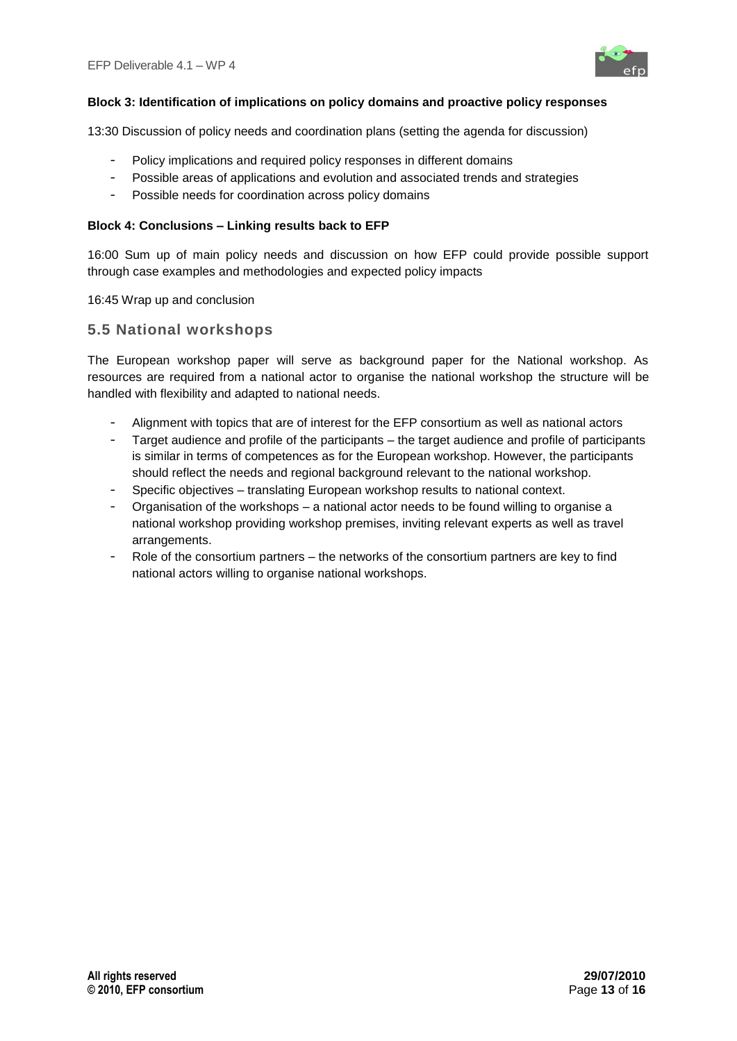

## **Block 3: Identification of implications on policy domains and proactive policy responses**

13:30 Discussion of policy needs and coordination plans (setting the agenda for discussion)

- Policy implications and required policy responses in different domains
- Possible areas of applications and evolution and associated trends and strategies
- Possible needs for coordination across policy domains

### **Block 4: Conclusions – Linking results back to EFP**

16:00 Sum up of main policy needs and discussion on how EFP could provide possible support through case examples and methodologies and expected policy impacts

16:45 Wrap up and conclusion

## <span id="page-12-0"></span>**5.5 National workshops**

The European workshop paper will serve as background paper for the National workshop. As resources are required from a national actor to organise the national workshop the structure will be handled with flexibility and adapted to national needs.

- Alignment with topics that are of interest for the EFP consortium as well as national actors
- Target audience and profile of the participants the target audience and profile of participants is similar in terms of competences as for the European workshop. However, the participants should reflect the needs and regional background relevant to the national workshop.
- Specific objectives translating European workshop results to national context.
- Organisation of the workshops a national actor needs to be found willing to organise a national workshop providing workshop premises, inviting relevant experts as well as travel arrangements.
- <span id="page-12-1"></span>Role of the consortium partners – the networks of the consortium partners are key to find national actors willing to organise national workshops.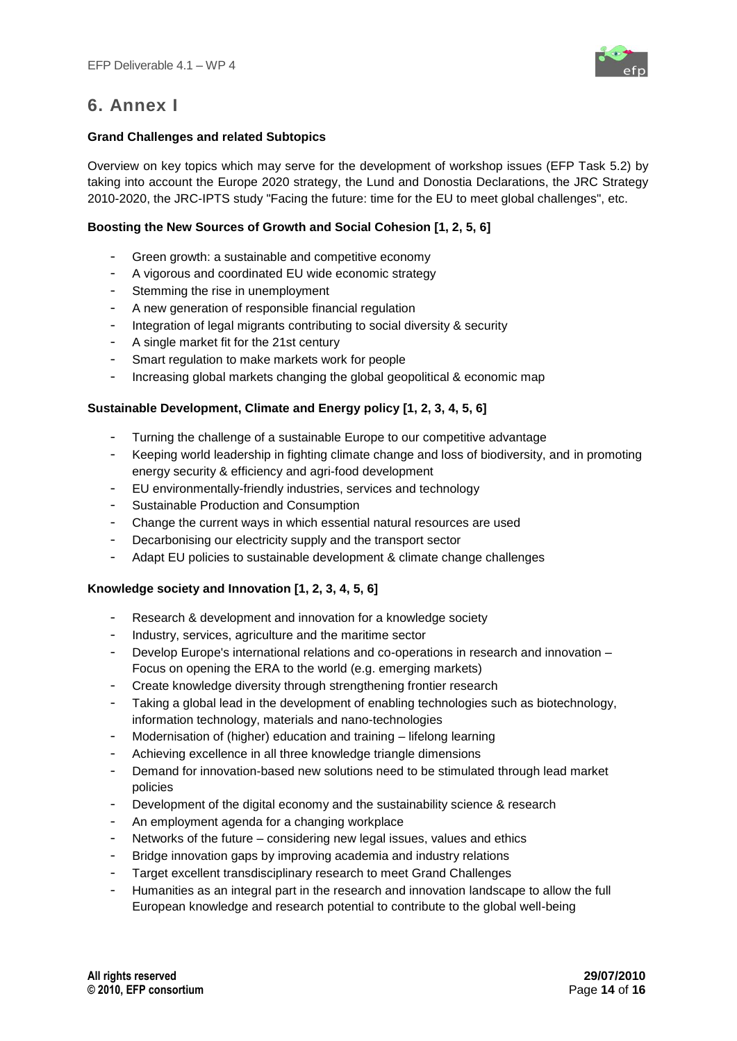

## **6. Annex I**

## **Grand Challenges and related Subtopics**

Overview on key topics which may serve for the development of workshop issues (EFP Task 5.2) by taking into account the Europe 2020 strategy, the Lund and Donostia Declarations, the JRC Strategy 2010-2020, the JRC-IPTS study "Facing the future: time for the EU to meet global challenges", etc.

## **Boosting the New Sources of Growth and Social Cohesion [1, 2, 5, 6]**

- Green growth: a sustainable and competitive economy
- A vigorous and coordinated EU wide economic strategy
- Stemming the rise in unemployment
- A new generation of responsible financial regulation
- Integration of legal migrants contributing to social diversity & security
- A single market fit for the 21st century
- Smart regulation to make markets work for people
- Increasing global markets changing the global geopolitical & economic map

## **Sustainable Development, Climate and Energy policy [1, 2, 3, 4, 5, 6]**

- Turning the challenge of a sustainable Europe to our competitive advantage
- Keeping world leadership in fighting climate change and loss of biodiversity, and in promoting energy security & efficiency and agri-food development
- EU environmentally-friendly industries, services and technology
- Sustainable Production and Consumption
- Change the current ways in which essential natural resources are used
- Decarbonising our electricity supply and the transport sector
- Adapt EU policies to sustainable development & climate change challenges

## **Knowledge society and Innovation [1, 2, 3, 4, 5, 6]**

- Research & development and innovation for a knowledge society
- Industry, services, agriculture and the maritime sector
- Develop Europe's international relations and co-operations in research and innovation Focus on opening the ERA to the world (e.g. emerging markets)
- Create knowledge diversity through strengthening frontier research
- Taking a global lead in the development of enabling technologies such as biotechnology, information technology, materials and nano-technologies
- Modernisation of (higher) education and training lifelong learning
- Achieving excellence in all three knowledge triangle dimensions
- Demand for innovation-based new solutions need to be stimulated through lead market policies
- Development of the digital economy and the sustainability science & research
- An employment agenda for a changing workplace
- Networks of the future considering new legal issues, values and ethics
- Bridge innovation gaps by improving academia and industry relations
- Target excellent transdisciplinary research to meet Grand Challenges
- Humanities as an integral part in the research and innovation landscape to allow the full European knowledge and research potential to contribute to the global well-being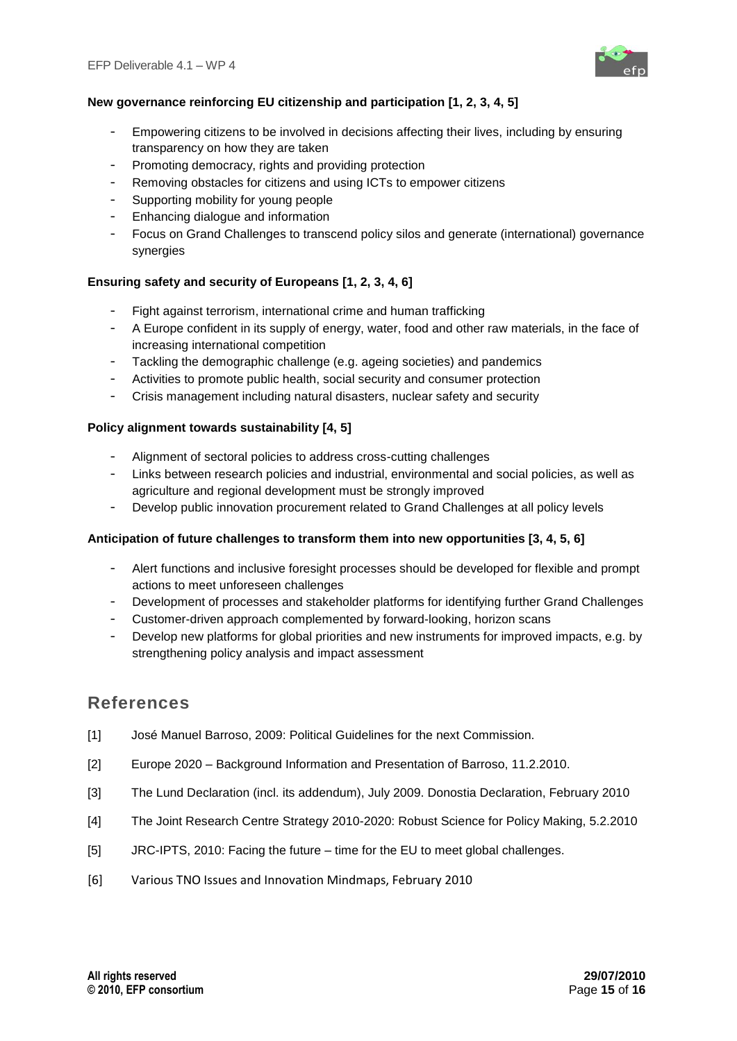

## **New governance reinforcing EU citizenship and participation [1, 2, 3, 4, 5]**

- Empowering citizens to be involved in decisions affecting their lives, including by ensuring transparency on how they are taken
- Promoting democracy, rights and providing protection
- Removing obstacles for citizens and using ICTs to empower citizens
- Supporting mobility for young people
- Enhancing dialogue and information
- Focus on Grand Challenges to transcend policy silos and generate (international) governance synergies

## **Ensuring safety and security of Europeans [1, 2, 3, 4, 6]**

- Fight against terrorism, international crime and human trafficking
- A Europe confident in its supply of energy, water, food and other raw materials, in the face of increasing international competition
- Tackling the demographic challenge (e.g. ageing societies) and pandemics
- Activities to promote public health, social security and consumer protection
- Crisis management including natural disasters, nuclear safety and security

## **Policy alignment towards sustainability [4, 5]**

- Alignment of sectoral policies to address cross-cutting challenges
- Links between research policies and industrial, environmental and social policies, as well as agriculture and regional development must be strongly improved
- Develop public innovation procurement related to Grand Challenges at all policy levels

## **Anticipation of future challenges to transform them into new opportunities [3, 4, 5, 6]**

- Alert functions and inclusive foresight processes should be developed for flexible and prompt actions to meet unforeseen challenges
- Development of processes and stakeholder platforms for identifying further Grand Challenges
- Customer-driven approach complemented by forward-looking, horizon scans
- Develop new platforms for global priorities and new instruments for improved impacts, e.g. by strengthening policy analysis and impact assessment

## **References**

- [1] José Manuel Barroso, 2009: Political Guidelines for the next Commission.
- [2] Europe 2020 Background Information and Presentation of Barroso, 11.2.2010.
- [3] The Lund Declaration (incl. its addendum), July 2009. Donostia Declaration, February 2010
- [4] The Joint Research Centre Strategy 2010-2020: Robust Science for Policy Making, 5.2.2010
- [5] JRC-IPTS, 2010: Facing the future time for the EU to meet global challenges.
- [6] Various TNO Issues and Innovation Mindmaps, February 2010